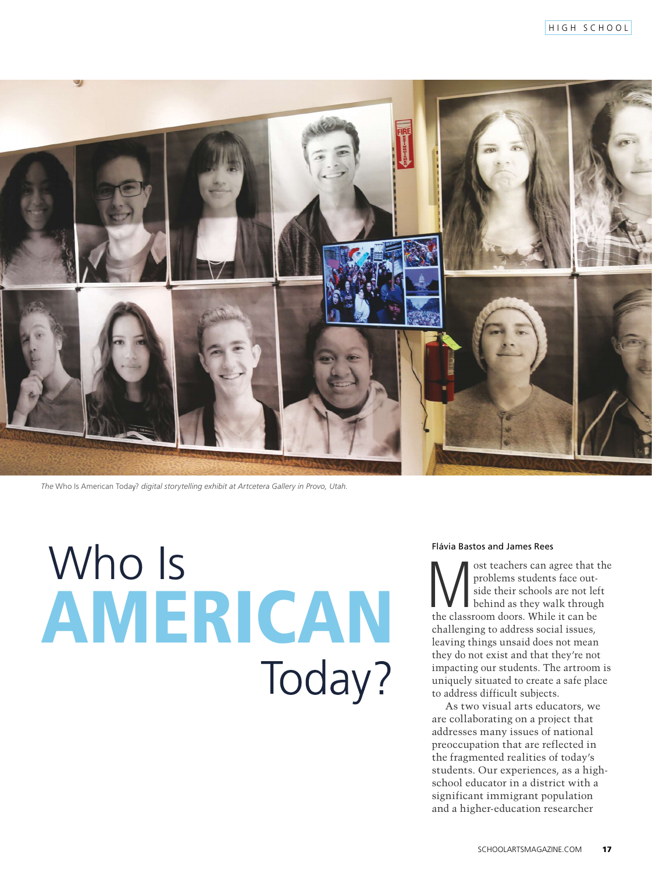

The Who Is American Today? digital storytelling exhibit at Artcetera Gallery in Provo, Utah.

# Who Is AMERICAN Today?

## Flávia Bastos and James Rees

ost teachers can agree that the problems students face outside their schools are not left behind as they walk through the classroom doors. While it can be challenging to address social issues, leaving things unsaid does not mean they do not exist and that they're not impacting our students. The artroom is uniquely situated to create a safe place to address difficult subjects.

As two visual arts educators, we are collaborating on a project that addresses many issues of national preoccupation that are reflected in the fragmented realities of today's students. Our experiences, as a highschool educator in a district with a significant immigrant population and a higher-education researcher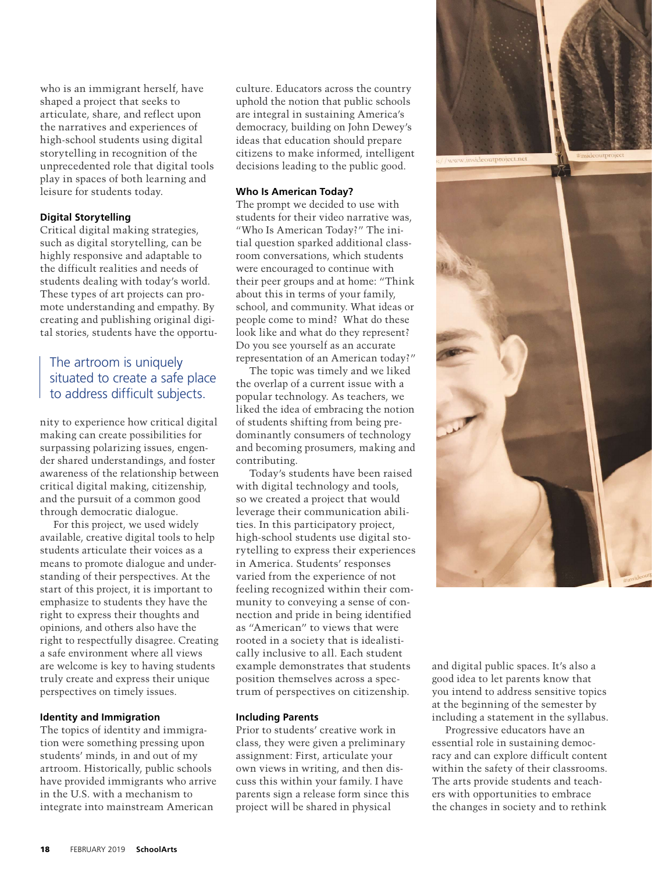who is an immigrant herself, have shaped a project that seeks to articulate, share, and reflect upon the narratives and experiences of high-school students using digital storytelling in recognition of the unprecedented role that digital tools play in spaces of both learning and leisure for students today.

#### **Digital Storytelling**

Critical digital making strategies, such as digital storytelling, can be highly responsive and adaptable to the difficult realities and needs of students dealing with today's world. These types of art projects can promote understanding and empathy. By creating and publishing original digital stories, students have the opportu-

# The artroom is uniquel situated to create a safe place to address difficult subjects.

nity to experience how critical digital making can create possibilities for surpassing polarizing issues, engender shared understandings, and foster awareness of the relationship between critical digital making, citizenship, and the pursuit of a common good through democratic dialogue.

For this project, we used widely available, creative digital tools to help students articulate their voices as a means to promote dialogue and understanding of their perspectives. At the start of this project, it is important to emphasize to students they have the right to express their thoughts and opinions, and others also have the right to respectfully disagree. Creating a safe environment where all views are welcome is key to having students truly create and express their unique perspectives on timely issues.

#### **Identity and Immigration**

The topics of identity and immigration were something pressing upon students' minds, in and out of my artroom. Historically, public schools have provided immigrants who arrive in the U.S. with a mechanism to integrate into mainstream American

culture. Educators across the country uphold the notion that public schools are integral in sustaining America's democracy, building on John Dewey's ideas that education should prepare citizens to make informed, intelligent decisions leading to the public good.

#### **Who Is American Today?**

The prompt we decided to use with students for their video narrative was, "Who Is American Today?" The initial question sparked additional classroom conversations, which students were encouraged to continue with their peer groups and at home: "Think about this in terms of your family, school, and community. What ideas or people come to mind? What do these look like and what do they represent? Do you see yourself as an accurate representation of an American today?"

The topic was timely and we liked the overlap of a current issue with a popular technology. As teachers, we liked the idea of embracing the notion of students shifting from being predominantly consumers of technology and becoming prosumers, making and contributing.

Today's students have been raised with digital technology and tools, so we created a project that would leverage their communication abilities. In this participatory project, high-school students use digital storytelling to express their experiences in America. Students' responses varied from the experience of not feeling recognized within their community to conveying a sense of connection and pride in being identified as "American" to views that were rooted in a society that is idealistically inclusive to all. Each student example demonstrates that students position themselves across a spectrum of perspectives on citizenship.

#### **Including Parents**

Prior to students' creative work in class, they were given a preliminary assignment: First, articulate your own views in writing, and then discuss this within your family. I have parents sign a release form since this project will be shared in physical



and digital public spaces. It's also a good idea to let parents know that you intend to address sensitive topics at the beginning of the semester by including a statement in the syllabus.

Progressive educators have an essential role in sustaining democracy and can explore difficult content within the safety of their classrooms. The arts provide students and teachers with opportunities to embrace the changes in society and to rethink